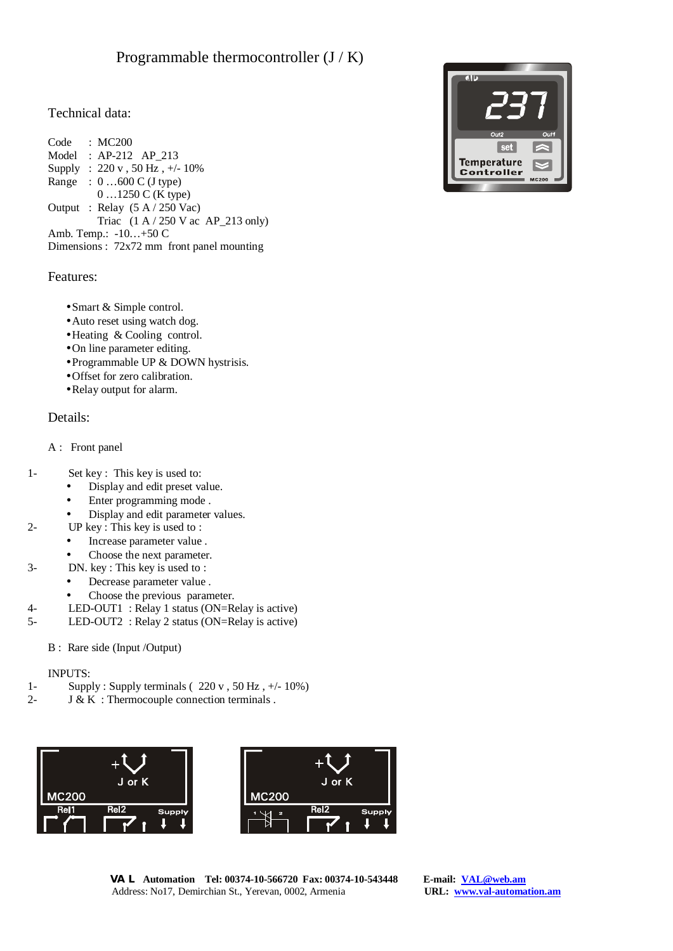# Technical data:

Code : MC200 Model : AP-212 AP\_213 Supply : 220 v , 50 Hz , +/- 10% Range : 0 …600 C (J type) 0 …1250 C (K type) Output : Relay (5 A / 250 Vac) Triac  $(1 \text{ A} / 250 \text{ V} \text{ ac } \text{AP} \_213 \text{ only})$ Amb. Temp.: -10…+50 C Dimensions : 72x72 mm front panel mounting

### Features:

- •Smart & Simple control.
- Auto reset using watch dog.
- •Heating & Cooling control.
- •On line parameter editing.
- •Programmable UP & DOWN hystrisis.
- •Offset for zero calibration.
- •Relay output for alarm.

# Details:

- A : Front panel
- 1- Set key : This key is used to:
	- Display and edit preset value.
	- Enter programming mode .
	- Display and edit parameter values.
- 2- UP key : This key is used to :
	- Increase parameter value .
	- Choose the next parameter.
- 3- DN. key : This key is used to :
	- Decrease parameter value .
	- Choose the previous parameter.
- 4- LED-OUT1 : Relay 1 status (ON=Relay is active)
- 5- LED-OUT2 : Relay 2 status (ON=Relay is active)

### B : Rare side (Input /Output)

### INPUTS:

- 1- Supply : Supply terminals ( $220 \text{ v}$ ,  $50 \text{ Hz}$ ,  $\frac{+}{-}10\%$ )
- 2-  $J & K$ : Thermocouple connection terminals .



 **VAL Automation Tel: 00374-10-566720 Fax: 00374-10-543448 E-mail: [VAL@web.am](mailto:VAL@web.am)** Address: No17, Demirchian St., Yerevan, 0002, Armenia **URL: [www.val-automation.am](http://www.val-automation.am)**

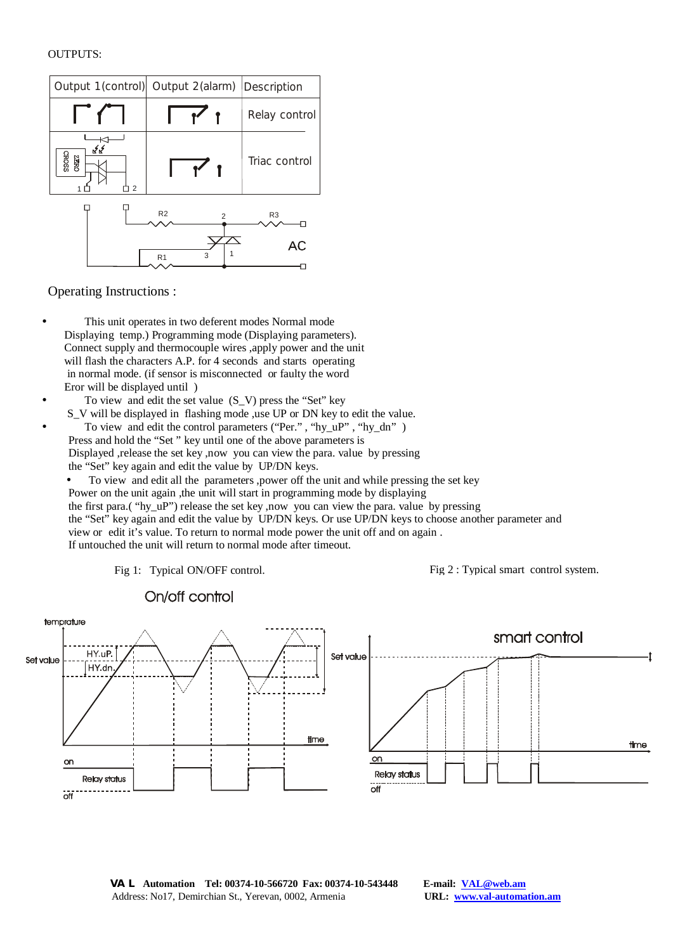#### OUTPUTS:

| Output 1(control) Output 2(alarm) Description |               |
|-----------------------------------------------|---------------|
|                                               | Relay control |
|                                               | Triac control |
| R <sub>2</sub><br>っ                           | R3            |
| 3<br>R <sub>1</sub>                           | AC            |
|                                               |               |

Operating Instructions :

- This unit operates in two deferent modes Normal mode Displaying temp.) Programming mode (Displaying parameters). Connect supply and thermocouple wires ,apply power and the unit will flash the characters A.P. for 4 seconds and starts operating in normal mode. (if sensor is misconnected or faulty the word Eror will be displayed until )
- To view and edit the set value  $(S_V)$  press the "Set" key S\_V will be displayed in flashing mode ,use UP or DN key to edit the value.
- To view and edit the control parameters ("Per.", "hy uP", "hy dn") Press and hold the "Set " key until one of the above parameters is Displayed ,release the set key ,now you can view the para. value by pressing the "Set" key again and edit the value by UP/DN keys.
	- To view and edit all the parameters ,power off the unit and while pressing the set key Power on the unit again ,the unit will start in programming mode by displaying the first para.( "hy\_uP") release the set key ,now you can view the para. value by pressing the "Set" key again and edit the value by UP/DN keys. Or use UP/DN keys to choose another parameter and view or edit it's value. To return to normal mode power the unit off and on again . If untouched the unit will return to normal mode after timeout.
		-

temprature smart control HY.uP. Set value Set value HY.dn time time on on **Relay status Relay status**  $\overline{off}$  $\overline{C}$ 

# On/off control

Fig 1: Typical ON/OFF control. Fig 2 : Typical smart control system.